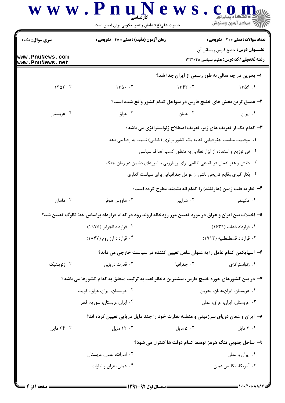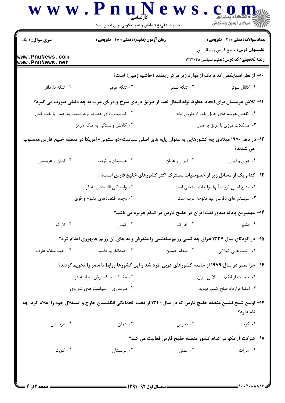| <b>سری سوال : ۱ یک</b>                          | زمان آزمون (دقیقه) : تستی : 45 آتشریحی : 0                                                                     |                                         | <b>تعداد سوالات : تستی : 30 ٪ تشریحی : 0</b>                                      |
|-------------------------------------------------|----------------------------------------------------------------------------------------------------------------|-----------------------------------------|-----------------------------------------------------------------------------------|
| www.PnuNews.com<br>www.PnuNews.net              |                                                                                                                |                                         | عنـــوان درس: خلیج فارس ومسائل آن<br><b>رشته تحصیلی/کد درس:</b> علوم سیاسی1۲۳۱۰۲۸ |
|                                                 |                                                                                                                |                                         | ∙۱− از نظر اسپایکمن کدام یک از موارد زیر مرکز ریملند (حاشیه زمین) است؟            |
| ۰۴ تنگه داردانل                                 | ۰۳ تنگه هرمز                                                                                                   | ۰۲ تنگه بسفر                            | ۰۱ کانال سوئز                                                                     |
|                                                 | 11- تلاش عربستان برای ایجاد خطوط لوله انتقال نفت از طریق دریای سرخ و دریای عرب به چه دلیلی صورت می گیرد؟       |                                         |                                                                                   |
| ۲ . ظرفيت بالاى خطوط لوله نسبت به حمل با نفت كش |                                                                                                                | ٠١. كاهش هزينه هاى حمل نفت از طريق لوله |                                                                                   |
|                                                 | ۰۴ کاهش وابستگی به تنگه هرمز                                                                                   |                                         | ۰۳ مشکلات مرزی با عراق با عمان                                                    |
|                                                 | ۱۲– در دهه ۱۹۷۰ میلادی چه کشورهایی به عنوان پایه های اصلی سیاست«دو ستونی» امریکا در منطقه خلیج فارس محسوب      |                                         | می شدند؟                                                                          |
| ۰۴ ایران و عربستان                              | ۰۳ عربستان و کویت                                                                                              | ۰۲ ایران و عمان                         | ٠١ عراق و ايران                                                                   |
|                                                 | ۱۳– کدام یک از مسائل زیر از خصوصیات مشترک اکثر کشورهای خلیج فارس است؟                                          |                                         |                                                                                   |
|                                                 | ۰۲ وابستگی اقتصادی به غرب                                                                                      |                                         | ٠١ منبع اصلى ثروت أنها توليدات صنعتى است                                          |
|                                                 | ۰۴ وجود اقتصادهای متنوع و قوی                                                                                  |                                         | ۰۳ سیستم های دفاعی آنها متوجه غرب است                                             |
|                                                 |                                                                                                                |                                         | ۱۴- مهمترین پایانه صدور نفت ایران در خلیج فارس در کدام جزیره می باشد؟             |
| ۰۴ لارک                                         | ۰۳ کیش                                                                                                         | ۰۲ خارک                                 | ۰۱ قشم                                                                            |
|                                                 | ۱۵– در کودتای سال ۱۳۳۷ عراق چه کسی رژیم سلطنتی را منقرض و به جای آن رژیم جمهوری اعلام کرد؟                     |                                         |                                                                                   |
| ۰۴ عبدالسلام عارف                               | ۰۳ عبدالکريم قاسم                                                                                              | ۰۲ صدام حسين                            | ۰۱ رشید عالی گیلانی                                                               |
|                                                 | ۱۶- چرا مصر در سال ۱۹۷۹ از جامعه کشورهای عربی طرد شد و این کشورها روابط با مصر را تحریم کردند؟                 |                                         |                                                                                   |
| ٠٢ مخالفت با گسترش اتحاديه عرب                  |                                                                                                                | ٠١ حمايت از انقلاب اسلامي ايران         |                                                                                   |
| ۰۴ طرفداری از سیاست های شوروی                   |                                                                                                                |                                         | ۰۳ امضا قرارداد صلح کمپ دیوید                                                     |
|                                                 | ۱۷– اولین شیخ نشین منطقه خلیج فارس که در سال ۱۳۴۰ از تحت الحمایگی انگلستان خارج و استقلال خود را اعلام کرد، چه |                                         | نام دارد؟                                                                         |
| ۰۴ عربستان                                      | ۰۳ عمان                                                                                                        | ۰۲ بحرين                                | ۰۱ کويت                                                                           |
|                                                 |                                                                                                                |                                         | ۱۸– شرکت آرامکو در کدام کشور منطقه خلیج فارس فعالیت می کند؟                       |
| ۰۴ کويت                                         | ۰۳ عربستان                                                                                                     | ۰۲ عمان                                 | ٠١. امارات                                                                        |

 $= 1.1.11.1.1.117$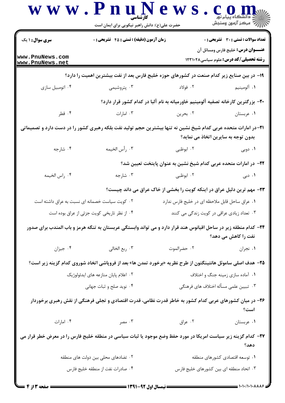| <b>سری سوال : ۱ یک</b>                      | <b>زمان آزمون (دقیقه) : تستی : 45 گتشریحی : 0</b>                                                                   |                                                                  | <b>تعداد سوالات : تستی : 30 ٪ تشریحی : 0</b><br><b>عنـــوان درس:</b> خلیج فارس ومسائل آن |
|---------------------------------------------|---------------------------------------------------------------------------------------------------------------------|------------------------------------------------------------------|------------------------------------------------------------------------------------------|
| www.PnuNews.com<br>www.PnuNews.net          |                                                                                                                     |                                                                  | <b>رشته تحصیلی/کد درس:</b> علوم سیاسی ۱۲۳۱۰۲۸                                            |
|                                             | ۱۹– در بین صنایع زیر کدام صنعت در کشورهای حوزه خلیج فارس بعد از نفت بیشترین اهمیت را دارد؟                          |                                                                  |                                                                                          |
| ۰۴ اتومبيل سازى                             | ۰۳ پتروشیمی                                                                                                         | ۰۲ فولاد                                                         | ۰۱ آلومينيم                                                                              |
|                                             | +۲- بزرگترین کارخانه تصفیه آلومینیم خاورمیانه به نام آلبا در کدام کشور قرار دارد؟                                   |                                                                  |                                                                                          |
| ۰۴ قطر                                      | ۰۳ امارات                                                                                                           | ۰۲ بحرين                                                         | ۰۱ عربستان                                                                               |
|                                             | ۲۱–در امارات متحده عربی کدام شیخ نشین نه تنها بیشترین حجم تولید نفت بلکه رهبری کشور را در دست دارد و تصمیماتی       |                                                                  | بدون توجه به سایرین اتخاذ می نماید؟                                                      |
| ۰۴ شارجه                                    | ٠٣ رأس الخيمه                                                                                                       | ۰۲ ابوظبی                                                        | ۰۱ دوبی                                                                                  |
|                                             |                                                                                                                     | ۲۲– در امارات متحده عربی کدام شیخ نشین به عنوان پایتخت تعیین شد؟ |                                                                                          |
| ۰۴ راس الخيمه                               | ۰۳ شارجه $\cdot$                                                                                                    | ۲. ابوظبی                                                        | ۰۱ دبی                                                                                   |
|                                             | ۲۳- مهم ترین دلیل عراق در اینکه کویت را بخشی از خاک عراق می داند چیست؟                                              |                                                                  |                                                                                          |
|                                             | ۰۲ کویت سیاست خصمانه ای نسبت به عراق داشته است                                                                      | ٠١ عراق ساحل قابل ملاحظه اي در خليج فارس ندارد                   |                                                                                          |
| ۰۴ از نظر تاریخی کویت جزئی از عراق بوده است |                                                                                                                     | ۰۳ تعداد زیادی عراقی در کویت زندگی می کنند                       |                                                                                          |
|                                             | ۲۴– کدام منطقه زیر در ساحل اقیانوس هند قرار دارد و می تواند وابستگی عربستان به تنگه هرمز و باب المندب برای صدور     |                                                                  | نفت را کاهش می دهد؟                                                                      |
| ۰۴ جيزان                                    | ٠٣ ربع الخالي                                                                                                       | ٠٢ حضرالموت                                                      | ۰۱ نجران                                                                                 |
|                                             | <b>۲۵</b> – هدف اصلی ساموئل هانتینگتون از طرح نظریه «برخورد تمدن ها» بعد از فروپاشی اتخاد شوروی کدام گزینه زیر است؟ |                                                                  |                                                                                          |
| ۰۲ اعلام پایان منازعه های ایدئولوژیک        |                                                                                                                     | ۰۱ آماده سازی زمینه جنگ و اختلاف                                 |                                                                                          |
|                                             | ۰۴ نوید صلح و ثبات جهانی                                                                                            |                                                                  | ۰۳ تبیین علمی مسأله اختلاف های فرهنگی                                                    |
|                                             | ۲۶– در میان کشورهای عربی کدام کشور به خاطر قدرت نظامی، قدرت اقتصادی و تجلی فرهنگی از نقش رهبری برخوردار             |                                                                  | است؟                                                                                     |
| ۰۴ امارات                                   | . ۳ مصر                                                                                                             | ۰۲ عراق                                                          | ٠١ عربستان                                                                               |
|                                             | ۲۷– کدام گزینه زیر سیاست امریکا در مورد حفظ وضع موجود یا ثبات سیاسی در منطقه خلیج فارس را در معرض خطر قرار می       |                                                                  | دهد؟                                                                                     |
|                                             | ۰۲ تضادهای محلی بین دولت های منطقه                                                                                  |                                                                  | ۰۱ توسعه اقتصادی کشورهای منطقه                                                           |
|                                             | ۰۴ صادرات نفت از منطقه خلیج فارس                                                                                    | ۰۳ اتحاد منطقه ای بین کشورهای خلیج فارس                          |                                                                                          |